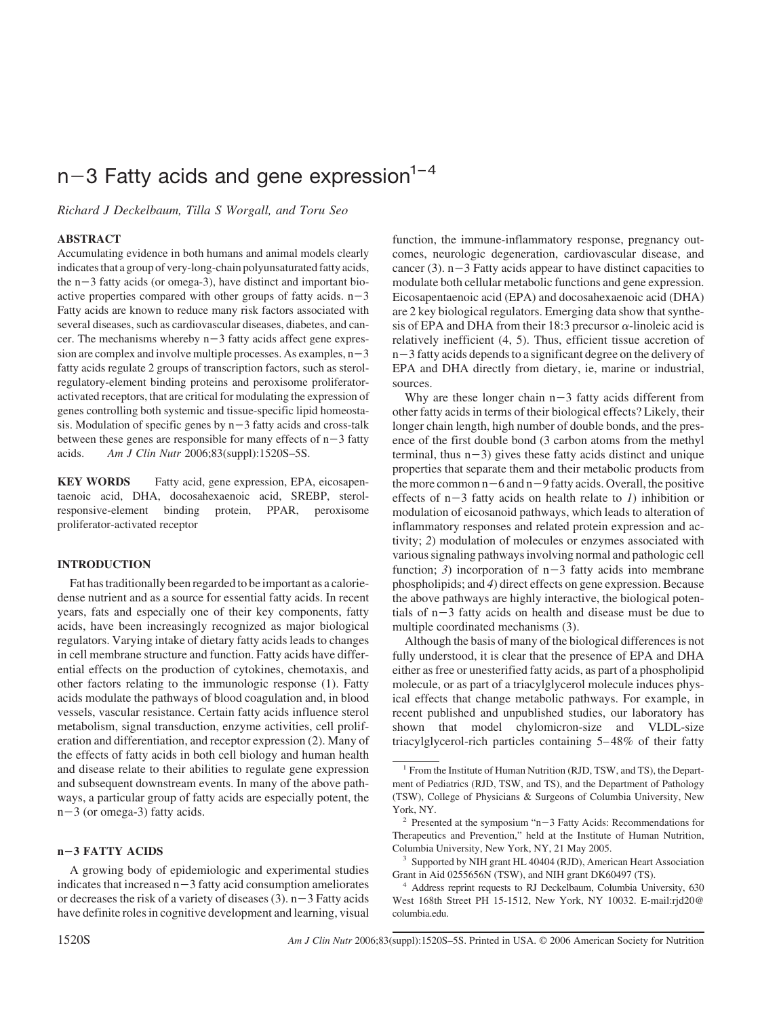# $n-3$  Fatty acids and gene expression<sup>1-4</sup>

*Richard J Deckelbaum, Tilla S Worgall, and Toru Seo*

#### **ABSTRACT**

Accumulating evidence in both humans and animal models clearly indicates that a group of very-long-chain polyunsaturated fatty acids, the  $n-3$  fatty acids (or omega-3), have distinct and important bioactive properties compared with other groups of fatty acids.  $n-3$ Fatty acids are known to reduce many risk factors associated with several diseases, such as cardiovascular diseases, diabetes, and cancer. The mechanisms whereby  $n-3$  fatty acids affect gene expression are complex and involve multiple processes. As examples,  $n-3$ fatty acids regulate 2 groups of transcription factors, such as sterolregulatory-element binding proteins and peroxisome proliferatoractivated receptors, that are critical for modulating the expression of genes controlling both systemic and tissue-specific lipid homeostasis. Modulation of specific genes by  $n-3$  fatty acids and cross-talk between these genes are responsible for many effects of  $n-3$  fatty acids. *Am J Clin Nutr* 2006;83(suppl):1520S–5S.

**KEY WORDS** Fatty acid, gene expression, EPA, eicosapentaenoic acid, DHA, docosahexaenoic acid, SREBP, sterolresponsive-element binding protein, PPAR, peroxisome proliferator-activated receptor

### **INTRODUCTION**

Fat has traditionally been regarded to be important as a caloriedense nutrient and as a source for essential fatty acids. In recent years, fats and especially one of their key components, fatty acids, have been increasingly recognized as major biological regulators. Varying intake of dietary fatty acids leads to changes in cell membrane structure and function. Fatty acids have differential effects on the production of cytokines, chemotaxis, and other factors relating to the immunologic response (1). Fatty acids modulate the pathways of blood coagulation and, in blood vessels, vascular resistance. Certain fatty acids influence sterol metabolism, signal transduction, enzyme activities, cell proliferation and differentiation, and receptor expression (2). Many of the effects of fatty acids in both cell biology and human health and disease relate to their abilities to regulate gene expression and subsequent downstream events. In many of the above pathways, a particular group of fatty acids are especially potent, the  $n-3$  (or omega-3) fatty acids.

## **n3 FATTY ACIDS**

A growing body of epidemiologic and experimental studies indicates that increased  $n-3$  fatty acid consumption ameliorates or decreases the risk of a variety of diseases (3).  $n-3$  Fatty acids have definite roles in cognitive development and learning, visual

function, the immune-inflammatory response, pregnancy outcomes, neurologic degeneration, cardiovascular disease, and cancer (3).  $n-3$  Fatty acids appear to have distinct capacities to modulate both cellular metabolic functions and gene expression. Eicosapentaenoic acid (EPA) and docosahexaenoic acid (DHA) are 2 key biological regulators. Emerging data show that synthesis of EPA and DHA from their 18:3 precursor  $\alpha$ -linoleic acid is relatively inefficient (4, 5). Thus, efficient tissue accretion of  $n-3$  fatty acids depends to a significant degree on the delivery of EPA and DHA directly from dietary, ie, marine or industrial, sources.

Why are these longer chain  $n-3$  fatty acids different from other fatty acids in terms of their biological effects? Likely, their longer chain length, high number of double bonds, and the presence of the first double bond (3 carbon atoms from the methyl terminal, thus  $n-3$ ) gives these fatty acids distinct and unique properties that separate them and their metabolic products from the more common  $n-6$  and  $n-9$  fatty acids. Overall, the positive effects of  $n-3$  fatty acids on health relate to *1*) inhibition or modulation of eicosanoid pathways, which leads to alteration of inflammatory responses and related protein expression and activity; *2*) modulation of molecules or enzymes associated with various signaling pathways involving normal and pathologic cell function; 3) incorporation of  $n-3$  fatty acids into membrane phospholipids; and *4*) direct effects on gene expression. Because the above pathways are highly interactive, the biological potentials of  $n-3$  fatty acids on health and disease must be due to multiple coordinated mechanisms (3).

Although the basis of many of the biological differences is not fully understood, it is clear that the presence of EPA and DHA either as free or unesterified fatty acids, as part of a phospholipid molecule, or as part of a triacylglycerol molecule induces physical effects that change metabolic pathways. For example, in recent published and unpublished studies, our laboratory has shown that model chylomicron-size and VLDL-size triacylglycerol-rich particles containing 5– 48% of their fatty

<sup>1</sup> From the Institute of Human Nutrition (RJD, TSW, and TS), the Department of Pediatrics (RJD, TSW, and TS), and the Department of Pathology (TSW), College of Physicians & Surgeons of Columbia University, New York, NY.

<sup>&</sup>lt;sup>2</sup> Presented at the symposium "n-3 Fatty Acids: Recommendations for Therapeutics and Prevention," held at the Institute of Human Nutrition, Columbia University, New York, NY, 21 May 2005.

<sup>3</sup> Supported by NIH grant HL 40404 (RJD), American Heart Association Grant in Aid 0255656N (TSW), and NIH grant DK60497 (TS).

<sup>&</sup>lt;sup>4</sup> Address reprint requests to RJ Deckelbaum, Columbia University, 630 West 168th Street PH 15-1512, New York, NY 10032. E-mail:rjd20@ columbia.edu.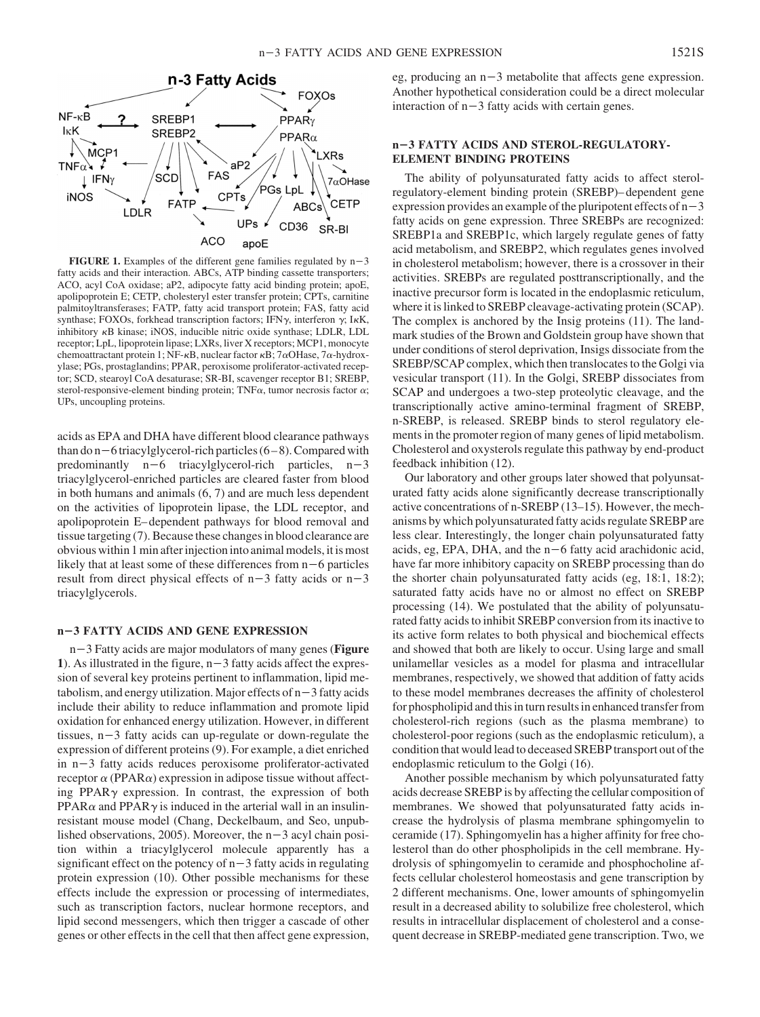

**XRs** 

SR-BI

 $7\alpha$ OHase

# **n3 FATTY ACIDS AND STEROL-REGULATORY-ELEMENT BINDING PROTEINS**

The ability of polyunsaturated fatty acids to affect sterolregulatory-element binding protein (SREBP)– dependent gene expression provides an example of the pluripotent effects of  $n-3$ fatty acids on gene expression. Three SREBPs are recognized: SREBP1a and SREBP1c, which largely regulate genes of fatty acid metabolism, and SREBP2, which regulates genes involved in cholesterol metabolism; however, there is a crossover in their activities. SREBPs are regulated posttranscriptionally, and the inactive precursor form is located in the endoplasmic reticulum, where it is linked to SREBP cleavage-activating protein (SCAP). The complex is anchored by the Insig proteins (11). The landmark studies of the Brown and Goldstein group have shown that under conditions of sterol deprivation, Insigs dissociate from the SREBP/SCAP complex, which then translocates to the Golgi via vesicular transport (11). In the Golgi, SREBP dissociates from SCAP and undergoes a two-step proteolytic cleavage, and the transcriptionally active amino-terminal fragment of SREBP, n-SREBP, is released. SREBP binds to sterol regulatory elements in the promoter region of many genes of lipid metabolism. Cholesterol and oxysterols regulate this pathway by end-product feedback inhibition (12).

Our laboratory and other groups later showed that polyunsaturated fatty acids alone significantly decrease transcriptionally active concentrations of n-SREBP (13–15). However, the mechanisms by which polyunsaturated fatty acids regulate SREBP are less clear. Interestingly, the longer chain polyunsaturated fatty acids, eg, EPA, DHA, and the  $n-6$  fatty acid arachidonic acid, have far more inhibitory capacity on SREBP processing than do the shorter chain polyunsaturated fatty acids (eg, 18:1, 18:2); saturated fatty acids have no or almost no effect on SREBP processing (14). We postulated that the ability of polyunsaturated fatty acids to inhibit SREBP conversion from its inactive to its active form relates to both physical and biochemical effects and showed that both are likely to occur. Using large and small unilamellar vesicles as a model for plasma and intracellular membranes, respectively, we showed that addition of fatty acids to these model membranes decreases the affinity of cholesterol for phospholipid and this in turn results in enhanced transfer from cholesterol-rich regions (such as the plasma membrane) to cholesterol-poor regions (such as the endoplasmic reticulum), a condition that would lead to deceased SREBP transport out of the endoplasmic reticulum to the Golgi (16).

Another possible mechanism by which polyunsaturated fatty acids decrease SREBP is by affecting the cellular composition of membranes. We showed that polyunsaturated fatty acids increase the hydrolysis of plasma membrane sphingomyelin to ceramide (17). Sphingomyelin has a higher affinity for free cholesterol than do other phospholipids in the cell membrane. Hydrolysis of sphingomyelin to ceramide and phosphocholine affects cellular cholesterol homeostasis and gene transcription by 2 different mechanisms. One, lower amounts of sphingomyelin result in a decreased ability to solubilize free cholesterol, which results in intracellular displacement of cholesterol and a consequent decrease in SREBP-mediated gene transcription. Two, we

**ACO** apoE **FIGURE 1.** Examples of the different gene families regulated by  $n-3$ fatty acids and their interaction. ABCs, ATP binding cassette transporters; ACO, acyl CoA oxidase; aP2, adipocyte fatty acid binding protein; apoE, apolipoprotein E; CETP, cholesteryl ester transfer protein; CPTs, carnitine palmitoyltransferases; FATP, fatty acid transport protein; FAS, fatty acid synthase; FOXOs, forkhead transcription factors; IFN $\gamma$ , interferon  $\gamma$ ; IKK, inhibitory  $\kappa$ B kinase; iNOS, inducible nitric oxide synthase; LDLR, LDL receptor; LpL, lipoprotein lipase; LXRs, liver X receptors; MCP1, monocyte chemoattractant protein 1; NF- $\kappa$ B, nuclear factor  $\kappa$ B; 7 $\alpha$ OHase, 7 $\alpha$ -hydroxylase; PGs, prostaglandins; PPAR, peroxisome proliferator-activated receptor; SCD, stearoyl CoA desaturase; SR-BI, scavenger receptor B1; SREBP, sterol-responsive-element binding protein; TNF $\alpha$ , tumor necrosis factor  $\alpha$ ; UPs, uncoupling proteins.

 $aP2$ 

FAS

CF 'Ts

 $NF - \kappa R$ 

lκK

TNF $\alpha$ 

**iNOS** 

?

LDLR

**MCP** 

 $\pm$  IFN $\gamma$ 

SREBP1

SREBP2

'SCD

**FAT** 

acids as EPA and DHA have different blood clearance pathways than do  $n-6$  triacylglycerol-rich particles (6-8). Compared with predominantly  $n-6$  triacylglycerol-rich particles,  $n-3$ triacylglycerol-enriched particles are cleared faster from blood in both humans and animals (6, 7) and are much less dependent on the activities of lipoprotein lipase, the LDL receptor, and apolipoprotein E– dependent pathways for blood removal and tissue targeting (7). Because these changes in blood clearance are obvious within 1 min after injection into animal models, it is most likely that at least some of these differences from  $n-6$  particles result from direct physical effects of  $n-3$  fatty acids or  $n-3$ triacylglycerols.

#### **n3 FATTY ACIDS AND GENE EXPRESSION**

n-3 Fatty acids are major modulators of many genes (**Figure**) 1). As illustrated in the figure,  $n-3$  fatty acids affect the expression of several key proteins pertinent to inflammation, lipid metabolism, and energy utilization. Major effects of  $n-3$  fatty acids include their ability to reduce inflammation and promote lipid oxidation for enhanced energy utilization. However, in different tissues,  $n-3$  fatty acids can up-regulate or down-regulate the expression of different proteins (9). For example, a diet enriched in  $n-3$  fatty acids reduces peroxisome proliferator-activated receptor  $\alpha$  (PPAR $\alpha$ ) expression in adipose tissue without affecting PPAR $\gamma$  expression. In contrast, the expression of both  $PPAR\alpha$  and  $PPAR\gamma$  is induced in the arterial wall in an insulinresistant mouse model (Chang, Deckelbaum, and Seo, unpublished observations, 2005). Moreover, the  $n-3$  acyl chain position within a triacylglycerol molecule apparently has a significant effect on the potency of  $n-3$  fatty acids in regulating protein expression (10). Other possible mechanisms for these effects include the expression or processing of intermediates, such as transcription factors, nuclear hormone receptors, and lipid second messengers, which then trigger a cascade of other genes or other effects in the cell that then affect gene expression,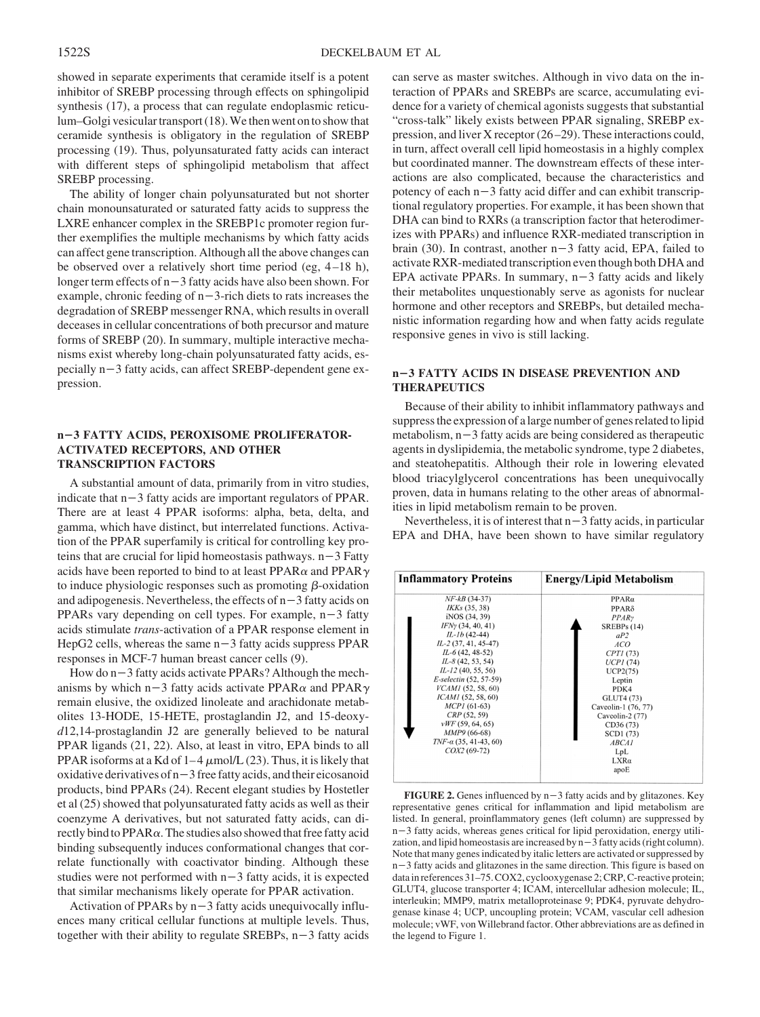showed in separate experiments that ceramide itself is a potent inhibitor of SREBP processing through effects on sphingolipid synthesis (17), a process that can regulate endoplasmic reticulum–Golgi vesicular transport (18).We then went on to show that ceramide synthesis is obligatory in the regulation of SREBP processing (19). Thus, polyunsaturated fatty acids can interact with different steps of sphingolipid metabolism that affect SREBP processing.

The ability of longer chain polyunsaturated but not shorter chain monounsaturated or saturated fatty acids to suppress the LXRE enhancer complex in the SREBP1c promoter region further exemplifies the multiple mechanisms by which fatty acids can affect gene transcription. Although all the above changes can be observed over a relatively short time period (eg, 4 –18 h), longer term effects of  $n-3$  fatty acids have also been shown. For example, chronic feeding of  $n-3$ -rich diets to rats increases the degradation of SREBP messenger RNA, which results in overall deceases in cellular concentrations of both precursor and mature forms of SREBP (20). In summary, multiple interactive mechanisms exist whereby long-chain polyunsaturated fatty acids, es- $\text{pecially } n-3$  fatty acids, can affect SREBP-dependent gene expression.

## **n3 FATTY ACIDS, PEROXISOME PROLIFERATOR-ACTIVATED RECEPTORS, AND OTHER TRANSCRIPTION FACTORS**

A substantial amount of data, primarily from in vitro studies, indicate that  $n-3$  fatty acids are important regulators of PPAR. There are at least 4 PPAR isoforms: alpha, beta, delta, and gamma, which have distinct, but interrelated functions. Activation of the PPAR superfamily is critical for controlling key proteins that are crucial for lipid homeostasis pathways.  $n-3$  Fatty acids have been reported to bind to at least  $PPAR\alpha$  and  $PPAR\gamma$ to induce physiologic responses such as promoting  $\beta$ -oxidation and adipogenesis. Nevertheless, the effects of  $n-3$  fatty acids on PPARs vary depending on cell types. For example,  $n-3$  fatty acids stimulate *trans*-activation of a PPAR response element in HepG2 cells, whereas the same  $n-3$  fatty acids suppress PPAR responses in MCF-7 human breast cancer cells (9).

How do  $n-3$  fatty acids activate PPARs? Although the mechanisms by which n-3 fatty acids activate PPAR $\alpha$  and PPAR $\gamma$ remain elusive, the oxidized linoleate and arachidonate metabolites 13-HODE, 15-HETE, prostaglandin J2, and 15-deoxy*d*12,14-prostaglandin J2 are generally believed to be natural PPAR ligands (21, 22). Also, at least in vitro, EPA binds to all PPAR isoforms at a Kd of  $1-4 \mu$ mol/L (23). Thus, it is likely that oxidative derivatives of  $n-3$  free fatty acids, and their eicosanoid products, bind PPARs (24). Recent elegant studies by Hostetler et al (25) showed that polyunsaturated fatty acids as well as their coenzyme A derivatives, but not saturated fatty acids, can directly bind to  $PPAR\alpha$ . The studies also showed that free fatty acid binding subsequently induces conformational changes that correlate functionally with coactivator binding. Although these studies were not performed with  $n-3$  fatty acids, it is expected that similar mechanisms likely operate for PPAR activation.

Activation of PPARs by  $n-3$  fatty acids unequivocally influences many critical cellular functions at multiple levels. Thus, together with their ability to regulate SREBPs,  $n-3$  fatty acids can serve as master switches. Although in vivo data on the interaction of PPARs and SREBPs are scarce, accumulating evidence for a variety of chemical agonists suggests that substantial "cross-talk" likely exists between PPAR signaling, SREBP expression, and liver X receptor (26 –29). These interactions could, in turn, affect overall cell lipid homeostasis in a highly complex but coordinated manner. The downstream effects of these interactions are also complicated, because the characteristics and potency of each  $n-3$  fatty acid differ and can exhibit transcriptional regulatory properties. For example, it has been shown that DHA can bind to RXRs (a transcription factor that heterodimerizes with PPARs) and influence RXR-mediated transcription in brain (30). In contrast, another  $n-3$  fatty acid, EPA, failed to activate RXR-mediated transcription even though both DHA and EPA activate PPARs. In summary,  $n-3$  fatty acids and likely their metabolites unquestionably serve as agonists for nuclear hormone and other receptors and SREBPs, but detailed mechanistic information regarding how and when fatty acids regulate responsive genes in vivo is still lacking.

## **n3 FATTY ACIDS IN DISEASE PREVENTION AND THERAPEUTICS**

Because of their ability to inhibit inflammatory pathways and suppress the expression of a large number of genes related to lipid metabolism,  $n-3$  fatty acids are being considered as therapeutic agents in dyslipidemia, the metabolic syndrome, type 2 diabetes, and steatohepatitis. Although their role in lowering elevated blood triacylglycerol concentrations has been unequivocally proven, data in humans relating to the other areas of abnormalities in lipid metabolism remain to be proven.

Nevertheless, it is of interest that  $n-3$  fatty acids, in particular EPA and DHA, have been shown to have similar regulatory

| <b>Inflammatory Proteins</b> | <b>Energy/Lipid Metabolism</b> |
|------------------------------|--------------------------------|
| $NF-kB(34-37)$               | $PPAR\alpha$                   |
| IKKs (35, 38)                | $PPAR\delta$                   |
| iNOS (34, 39)                | PPARv                          |
| IFNy(34, 40, 41)             | SREBPs (14)                    |
| $IL-Ib(42-44)$               | aP2                            |
| $IL-2$ (37, 41, 45-47)       | ACO                            |
| $IL-6(42, 48-52)$            | CPTI(73)                       |
| $IL-8(42, 53, 54)$           | UCPI(74)                       |
| $IL-I2(40, 55, 56)$          | UCP2(75)                       |
| E-selectin (52, 57-59)       | Leptin                         |
| VCAM1 (52, 58, 60)           | PDK4                           |
| ICAM1 (52, 58, 60)           | GLUT4 (73)                     |
| $MCP1(61-63)$                | Caveolin-1 (76, 77)            |
| CRP(52, 59)                  | Caveolin-2 (77)                |
| vWF(59, 64, 65)              | CD36(73)                       |
| MMP9 (66-68)                 | SCD1 (73)                      |
| $TNF-\alpha$ (35, 41-43, 60) | ABCA1                          |
| $COX2(69-72)$                | LpL                            |
|                              | $LXR\alpha$                    |
|                              | apoE                           |

**FIGURE 2.** Genes influenced by  $n-3$  fatty acids and by glitazones. Key representative genes critical for inflammation and lipid metabolism are listed. In general, proinflammatory genes (left column) are suppressed by  $n-3$  fatty acids, whereas genes critical for lipid peroxidation, energy utilization, and lipid homeostasis are increased by  $n-3$  fatty acids (right column). Note that many genes indicated by italic letters are activated or suppressed by  $n-3$  fatty acids and glitazones in the same direction. This figure is based on data in references 31–75. COX2, cyclooxygenase 2; CRP, C-reactive protein; GLUT4, glucose transporter 4; ICAM, intercellular adhesion molecule; IL, interleukin; MMP9, matrix metalloproteinase 9; PDK4, pyruvate dehydrogenase kinase 4; UCP, uncoupling protein; VCAM, vascular cell adhesion molecule; vWF, von Willebrand factor. Other abbreviations are as defined in the legend to Figure 1.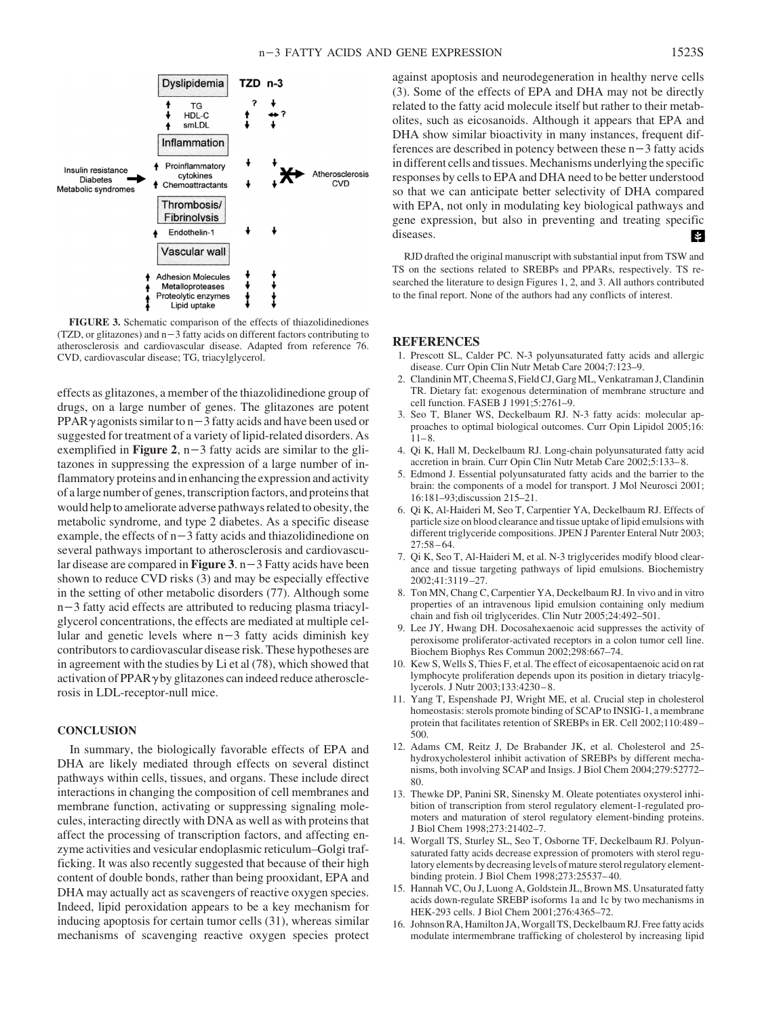

**FIGURE 3.** Schematic comparison of the effects of thiazolidinediones (TZD, or glitazones) and  $n-3$  fatty acids on different factors contributing to atherosclerosis and cardiovascular disease. Adapted from reference 76. CVD, cardiovascular disease; TG, triacylglycerol.

effects as glitazones, a member of the thiazolidinedione group of drugs, on a large number of genes. The glitazones are potent PPAR $\gamma$  agonists similar to n - 3 fatty acids and have been used or suggested for treatment of a variety of lipid-related disorders. As exemplified in **Figure 2**,  $n-3$  fatty acids are similar to the glitazones in suppressing the expression of a large number of inflammatory proteins and in enhancing the expression and activity of a large number of genes, transcription factors, and proteins that would help to ameliorate adverse pathways related to obesity, the metabolic syndrome, and type 2 diabetes. As a specific disease example, the effects of  $n-3$  fatty acids and thiazolidinedione on several pathways important to atherosclerosis and cardiovascular disease are compared in **Figure 3**.  $n-3$  Fatty acids have been shown to reduce CVD risks (3) and may be especially effective in the setting of other metabolic disorders (77). Although some  $n-3$  fatty acid effects are attributed to reducing plasma triacylglycerol concentrations, the effects are mediated at multiple cellular and genetic levels where  $n-3$  fatty acids diminish key contributors to cardiovascular disease risk. These hypotheses are in agreement with the studies by Li et al (78), which showed that activation of  $PPAR\gamma$  by glitazones can indeed reduce atherosclerosis in LDL-receptor-null mice.

## **CONCLUSION**

In summary, the biologically favorable effects of EPA and DHA are likely mediated through effects on several distinct pathways within cells, tissues, and organs. These include direct interactions in changing the composition of cell membranes and membrane function, activating or suppressing signaling molecules, interacting directly with DNA as well as with proteins that affect the processing of transcription factors, and affecting enzyme activities and vesicular endoplasmic reticulum–Golgi trafficking. It was also recently suggested that because of their high content of double bonds, rather than being prooxidant, EPA and DHA may actually act as scavengers of reactive oxygen species. Indeed, lipid peroxidation appears to be a key mechanism for inducing apoptosis for certain tumor cells (31), whereas similar mechanisms of scavenging reactive oxygen species protect

against apoptosis and neurodegeneration in healthy nerve cells (3). Some of the effects of EPA and DHA may not be directly related to the fatty acid molecule itself but rather to their metabolites, such as eicosanoids. Although it appears that EPA and DHA show similar bioactivity in many instances, frequent differences are described in potency between these  $n-3$  fatty acids in different cells and tissues.Mechanisms underlying the specific responses by cells to EPA and DHA need to be better understood so that we can anticipate better selectivity of DHA compared with EPA, not only in modulating key biological pathways and gene expression, but also in preventing and treating specific diseases. K.

RJD drafted the original manuscript with substantial input from TSW and TS on the sections related to SREBPs and PPARs, respectively. TS researched the literature to design Figures 1, 2, and 3. All authors contributed to the final report. None of the authors had any conflicts of interest.

#### **REFERENCES**

- 1. Prescott SL, Calder PC. N-3 polyunsaturated fatty acids and allergic disease. Curr Opin Clin Nutr Metab Care 2004;7:123–9.
- 2. ClandininMT, Cheema S, Field CJ, GargML, Venkatraman J, Clandinin TR. Dietary fat: exogenous determination of membrane structure and cell function. FASEB J 1991;5:2761–9.
- 3. Seo T, Blaner WS, Deckelbaum RJ. N-3 fatty acids: molecular approaches to optimal biological outcomes. Curr Opin Lipidol 2005;16:  $11 - 8.$
- 4. Qi K, Hall M, Deckelbaum RJ. Long-chain polyunsaturated fatty acid accretion in brain. Curr Opin Clin Nutr Metab Care 2002;5:133– 8.
- 5. Edmond J. Essential polyunsaturated fatty acids and the barrier to the brain: the components of a model for transport. J Mol Neurosci 2001; 16:181–93;discussion 215–21.
- 6. Qi K, Al-Haideri M, Seo T, Carpentier YA, Deckelbaum RJ. Effects of particle size on blood clearance and tissue uptake of lipid emulsions with different triglyceride compositions. JPEN J Parenter Enteral Nutr 2003; 27:58 – 64.
- 7. Qi K, Seo T, Al-Haideri M, et al. N-3 triglycerides modify blood clearance and tissue targeting pathways of lipid emulsions. Biochemistry 2002;41:3119 –27.
- 8. Ton MN, Chang C, Carpentier YA, Deckelbaum RJ. In vivo and in vitro properties of an intravenous lipid emulsion containing only medium chain and fish oil triglycerides. Clin Nutr 2005;24:492–501.
- 9. Lee JY, Hwang DH. Docosahexaenoic acid suppresses the activity of peroxisome proliferator-activated receptors in a colon tumor cell line. Biochem Biophys Res Commun 2002;298:667–74.
- 10. Kew S, Wells S, Thies F, et al. The effect of eicosapentaenoic acid on rat lymphocyte proliferation depends upon its position in dietary triacylglycerols. J Nutr 2003;133:4230 – 8.
- 11. Yang T, Espenshade PJ, Wright ME, et al. Crucial step in cholesterol homeostasis: sterols promote binding of SCAP to INSIG-1, a membrane protein that facilitates retention of SREBPs in ER. Cell 2002;110:489 – 500.
- 12. Adams CM, Reitz J, De Brabander JK, et al. Cholesterol and 25 hydroxycholesterol inhibit activation of SREBPs by different mechanisms, both involving SCAP and Insigs. J Biol Chem 2004;279:52772– 80.
- 13. Thewke DP, Panini SR, Sinensky M. Oleate potentiates oxysterol inhibition of transcription from sterol regulatory element-1-regulated promoters and maturation of sterol regulatory element-binding proteins. J Biol Chem 1998;273:21402–7.
- 14. Worgall TS, Sturley SL, Seo T, Osborne TF, Deckelbaum RJ. Polyunsaturated fatty acids decrease expression of promoters with sterol regulatory elements by decreasing levels of mature sterol regulatory elementbinding protein. J Biol Chem 1998;273:25537– 40.
- 15. Hannah VC, Ou J, Luong A, Goldstein JL, Brown MS. Unsaturated fatty acids down-regulate SREBP isoforms 1a and 1c by two mechanisms in HEK-293 cells. J Biol Chem 2001;276:4365–72.
- 16. Johnson RA, Hamilton JA,Worgall TS, Deckelbaum RJ. Free fatty acids modulate intermembrane trafficking of cholesterol by increasing lipid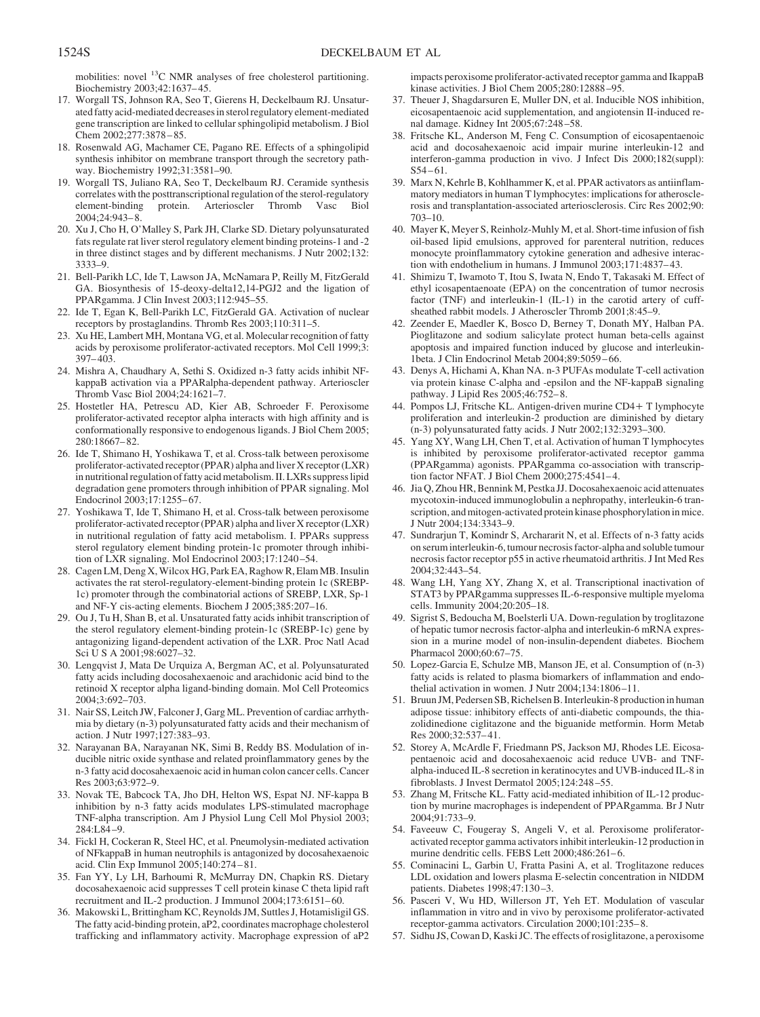mobilities: novel 13C NMR analyses of free cholesterol partitioning. Biochemistry 2003;42:1637– 45.

- 17. Worgall TS, Johnson RA, Seo T, Gierens H, Deckelbaum RJ. Unsaturated fatty acid-mediated decreases in sterol regulatory element-mediated gene transcription are linked to cellular sphingolipid metabolism. J Biol Chem 2002;277:3878-85.
- 18. Rosenwald AG, Machamer CE, Pagano RE. Effects of a sphingolipid synthesis inhibitor on membrane transport through the secretory pathway. Biochemistry 1992;31:3581–90.
- 19. Worgall TS, Juliano RA, Seo T, Deckelbaum RJ. Ceramide synthesis correlates with the posttranscriptional regulation of the sterol-regulatory element-binding protein. Arterioscler Thromb Vasc Biol 2004;24:943– 8.
- 20. Xu J, Cho H, O'Malley S, Park JH, Clarke SD. Dietary polyunsaturated fats regulate rat liver sterol regulatory element binding proteins-1 and -2 in three distinct stages and by different mechanisms. J Nutr 2002;132: 3333–9.
- 21. Bell-Parikh LC, Ide T, Lawson JA, McNamara P, Reilly M, FitzGerald GA. Biosynthesis of 15-deoxy-delta12,14-PGJ2 and the ligation of PPARgamma. J Clin Invest 2003;112:945–55.
- 22. Ide T, Egan K, Bell-Parikh LC, FitzGerald GA. Activation of nuclear receptors by prostaglandins. Thromb Res 2003;110:311–5.
- 23. Xu HE, Lambert MH, Montana VG, et al. Molecular recognition of fatty acids by peroxisome proliferator-activated receptors. Mol Cell 1999;3: 397– 403.
- 24. Mishra A, Chaudhary A, Sethi S. Oxidized n-3 fatty acids inhibit NFkappaB activation via a PPARalpha-dependent pathway. Arterioscler Thromb Vasc Biol 2004;24:1621–7.
- 25. Hostetler HA, Petrescu AD, Kier AB, Schroeder F. Peroxisome proliferator-activated receptor alpha interacts with high affinity and is conformationally responsive to endogenous ligands. J Biol Chem 2005; 280:18667– 82.
- 26. Ide T, Shimano H, Yoshikawa T, et al. Cross-talk between peroxisome proliferator-activated receptor (PPAR) alpha and liver X receptor (LXR) in nutritional regulation of fatty acid metabolism. II. LXRs suppress lipid degradation gene promoters through inhibition of PPAR signaling. Mol Endocrinol 2003;17:1255– 67.
- 27. Yoshikawa T, Ide T, Shimano H, et al. Cross-talk between peroxisome proliferator-activated receptor (PPAR) alpha and liver X receptor (LXR) in nutritional regulation of fatty acid metabolism. I. PPARs suppress sterol regulatory element binding protein-1c promoter through inhibition of LXR signaling. Mol Endocrinol 2003;17:1240-54.
- 28. Cagen LM, Deng X, Wilcox HG, Park EA, Raghow R, Elam MB. Insulin activates the rat sterol-regulatory-element-binding protein 1c (SREBP-1c) promoter through the combinatorial actions of SREBP, LXR, Sp-1 and NF-Y cis-acting elements. Biochem J 2005;385:207–16.
- 29. Ou J, Tu H, Shan B, et al. Unsaturated fatty acids inhibit transcription of the sterol regulatory element-binding protein-1c (SREBP-1c) gene by antagonizing ligand-dependent activation of the LXR. Proc Natl Acad Sci U S A 2001;98:6027–32.
- 30. Lengqvist J, Mata De Urquiza A, Bergman AC, et al. Polyunsaturated fatty acids including docosahexaenoic and arachidonic acid bind to the retinoid X receptor alpha ligand-binding domain. Mol Cell Proteomics 2004;3:692–703.
- 31. Nair SS, Leitch JW, Falconer J, Garg ML. Prevention of cardiac arrhythmia by dietary (n-3) polyunsaturated fatty acids and their mechanism of action. J Nutr 1997;127:383–93.
- 32. Narayanan BA, Narayanan NK, Simi B, Reddy BS. Modulation of inducible nitric oxide synthase and related proinflammatory genes by the n-3 fatty acid docosahexaenoic acid in human colon cancer cells. Cancer Res 2003;63:972–9.
- 33. Novak TE, Babcock TA, Jho DH, Helton WS, Espat NJ. NF-kappa B inhibition by n-3 fatty acids modulates LPS-stimulated macrophage TNF-alpha transcription. Am J Physiol Lung Cell Mol Physiol 2003; 284:L84 –9.
- 34. Fickl H, Cockeran R, Steel HC, et al. Pneumolysin-mediated activation of NFkappaB in human neutrophils is antagonized by docosahexaenoic acid. Clin Exp Immunol 2005;140:274 – 81.
- 35. Fan YY, Ly LH, Barhoumi R, McMurray DN, Chapkin RS. Dietary docosahexaenoic acid suppresses T cell protein kinase C theta lipid raft recruitment and IL-2 production. J Immunol 2004;173:6151– 60.
- 36. Makowski L, Brittingham KC, Reynolds JM, Suttles J, Hotamisligil GS. The fatty acid-binding protein, aP2, coordinates macrophage cholesterol trafficking and inflammatory activity. Macrophage expression of aP2

impacts peroxisome proliferator-activated receptor gamma and IkappaB kinase activities. J Biol Chem 2005;280:12888 –95.

- 37. Theuer J, Shagdarsuren E, Muller DN, et al. Inducible NOS inhibition, eicosapentaenoic acid supplementation, and angiotensin II-induced renal damage. Kidney Int 2005;67:248 –58.
- 38. Fritsche KL, Anderson M, Feng C. Consumption of eicosapentaenoic acid and docosahexaenoic acid impair murine interleukin-12 and interferon-gamma production in vivo. J Infect Dis 2000;182(suppl):  $S54 - 61.$
- 39. Marx N, Kehrle B, Kohlhammer K, et al. PPAR activators as antiinflammatory mediators in human T lymphocytes: implications for atherosclerosis and transplantation-associated arteriosclerosis. Circ Res 2002;90: 703–10.
- 40. Mayer K, Meyer S, Reinholz-Muhly M, et al. Short-time infusion of fish oil-based lipid emulsions, approved for parenteral nutrition, reduces monocyte proinflammatory cytokine generation and adhesive interaction with endothelium in humans. J Immunol 2003;171:4837– 43.
- 41. Shimizu T, Iwamoto T, Itou S, Iwata N, Endo T, Takasaki M. Effect of ethyl icosapentaenoate (EPA) on the concentration of tumor necrosis factor (TNF) and interleukin-1 (IL-1) in the carotid artery of cuffsheathed rabbit models. J Atheroscler Thromb 2001;8:45–9.
- 42. Zeender E, Maedler K, Bosco D, Berney T, Donath MY, Halban PA. Pioglitazone and sodium salicylate protect human beta-cells against apoptosis and impaired function induced by glucose and interleukin-1beta. J Clin Endocrinol Metab 2004;89:5059 – 66.
- 43. Denys A, Hichami A, Khan NA. n-3 PUFAs modulate T-cell activation via protein kinase C-alpha and -epsilon and the NF-kappaB signaling pathway. J Lipid Res 2005;46:752– 8.
- 44. Pompos LJ, Fritsche KL. Antigen-driven murine CD4- T lymphocyte proliferation and interleukin-2 production are diminished by dietary (n-3) polyunsaturated fatty acids. J Nutr 2002;132:3293–300.
- 45. Yang XY, Wang LH, Chen T, et al. Activation of human T lymphocytes is inhibited by peroxisome proliferator-activated receptor gamma (PPARgamma) agonists. PPARgamma co-association with transcription factor NFAT. J Biol Chem 2000;275:4541– 4.
- 46. Jia Q, Zhou HR, Bennink M, Pestka JJ. Docosahexaenoic acid attenuates mycotoxin-induced immunoglobulin a nephropathy, interleukin-6 transcription, and mitogen-activated protein kinase phosphorylation in mice. J Nutr 2004;134:3343–9.
- 47. Sundrarjun T, Komindr S, Archararit N, et al. Effects of n-3 fatty acids on serum interleukin-6, tumour necrosis factor-alpha and soluble tumour necrosis factor receptor p55 in active rheumatoid arthritis. J Int Med Res  $2004.32.443 - 54.$
- 48. Wang LH, Yang XY, Zhang X, et al. Transcriptional inactivation of STAT3 by PPARgamma suppresses IL-6-responsive multiple myeloma cells. Immunity 2004;20:205–18.
- 49. Sigrist S, Bedoucha M, Boelsterli UA. Down-regulation by troglitazone of hepatic tumor necrosis factor-alpha and interleukin-6 mRNA expression in a murine model of non-insulin-dependent diabetes. Biochem Pharmacol 2000;60:67–75.
- 50. Lopez-Garcia E, Schulze MB, Manson JE, et al. Consumption of (n-3) fatty acids is related to plasma biomarkers of inflammation and endothelial activation in women. J Nutr 2004;134:1806-11.
- 51. Bruun JM, Pedersen SB, Richelsen B. Interleukin-8 productionin human adipose tissue: inhibitory effects of anti-diabetic compounds, the thiazolidinedione ciglitazone and the biguanide metformin. Horm Metab Res 2000;32:537– 41.
- 52. Storey A, McArdle F, Friedmann PS, Jackson MJ, Rhodes LE. Eicosapentaenoic acid and docosahexaenoic acid reduce UVB- and TNFalpha-induced IL-8 secretion in keratinocytes and UVB-induced IL-8 in fibroblasts. J Invest Dermatol 2005;124:248 –55.
- 53. Zhang M, Fritsche KL. Fatty acid-mediated inhibition of IL-12 production by murine macrophages is independent of PPARgamma. Br J Nutr 2004;91:733–9.
- 54. Faveeuw C, Fougeray S, Angeli V, et al. Peroxisome proliferatoractivated receptor gamma activators inhibit interleukin-12 production in murine dendritic cells. FEBS Lett 2000;486:261-6.
- 55. Cominacini L, Garbin U, Fratta Pasini A, et al. Troglitazone reduces LDL oxidation and lowers plasma E-selectin concentration in NIDDM patients. Diabetes 1998;47:130 –3.
- 56. Pasceri V, Wu HD, Willerson JT, Yeh ET. Modulation of vascular inflammation in vitro and in vivo by peroxisome proliferator-activated receptor-gamma activators. Circulation 2000;101:235– 8.
- 57. Sidhu JS, Cowan D, Kaski JC. The effects of rosiglitazone, a peroxisome